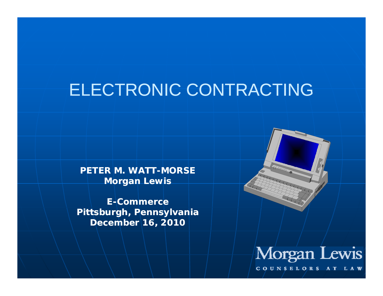### ELECTRONIC CONTRACTING

**PETER M. WATT WATT-MORSE Morgan Lewis**

**E-Commerce Pittsburgh, Pennsylvania December 16, 2010**





COUNSELORS AT LAW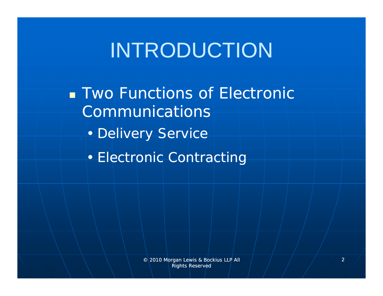# INTRODUCTION

**Two Functions of Electronic** Communications

- Delivery Service
- Electronic Contracting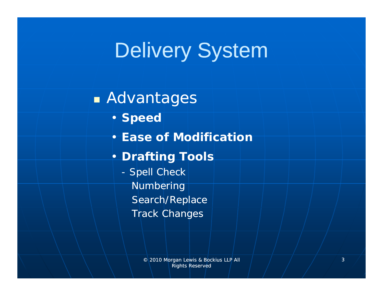### A dvantages

- **Speed**
- **Ease of Modification**

### • **Drafting Tools**

- Spell Check Numbering Search/Replace Track Changes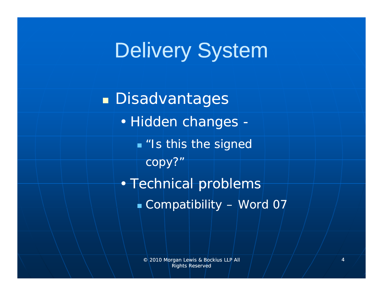Disadvantages • Hidden changes - *"Is this the signed copy?"* • Technical problems  $\bullet$  Compatibility – Word 07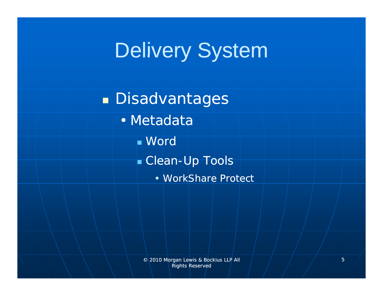Disadvantages • Metadata Word Clean-U p Tools • WorkShare Protect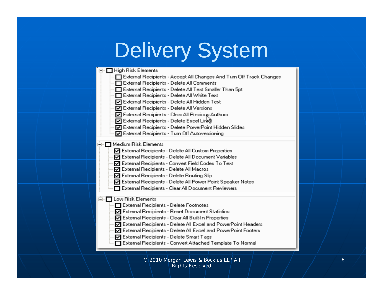| ⊟- □ High Risk Elements<br>External Recipients - Accept All Changes And Turn Off Track Changes<br>External Recipients - Delete All Comments<br>External Recipients - Delete All Text Smaller Than 5pt<br>□ External Recipients - Delete All White Text<br>☑ External Recipients - Delete All Hidden Text<br>☑ External Recipients - Delete All Versions<br>☑ External Recipients - Clear All Previous Authors<br>☑ External Recipients - Delete Excel Links<br>□ External Recipients - Delete PowerPoint Hidden Slides<br>☑ External Recipients - Turn Off Autoversioning<br>□ Medium Risk Elements<br>☑ External Recipients - Delete All Custom Properties<br>□ External Recipients - Delete All Document Variables<br>□ External Recipients - Convert Field Codes To Text<br>☑ External Recipients - Delete All Macros<br>☑ External Recipients - Delete Routing Slip<br>☑ External Recipients - Delete All Power Point Speaker Notes<br>External Recipients - Clear All Document Reviewers<br>□ Low Risk Elements |
|----------------------------------------------------------------------------------------------------------------------------------------------------------------------------------------------------------------------------------------------------------------------------------------------------------------------------------------------------------------------------------------------------------------------------------------------------------------------------------------------------------------------------------------------------------------------------------------------------------------------------------------------------------------------------------------------------------------------------------------------------------------------------------------------------------------------------------------------------------------------------------------------------------------------------------------------------------------------------------------------------------------------|
|                                                                                                                                                                                                                                                                                                                                                                                                                                                                                                                                                                                                                                                                                                                                                                                                                                                                                                                                                                                                                      |
|                                                                                                                                                                                                                                                                                                                                                                                                                                                                                                                                                                                                                                                                                                                                                                                                                                                                                                                                                                                                                      |
|                                                                                                                                                                                                                                                                                                                                                                                                                                                                                                                                                                                                                                                                                                                                                                                                                                                                                                                                                                                                                      |
|                                                                                                                                                                                                                                                                                                                                                                                                                                                                                                                                                                                                                                                                                                                                                                                                                                                                                                                                                                                                                      |
|                                                                                                                                                                                                                                                                                                                                                                                                                                                                                                                                                                                                                                                                                                                                                                                                                                                                                                                                                                                                                      |
|                                                                                                                                                                                                                                                                                                                                                                                                                                                                                                                                                                                                                                                                                                                                                                                                                                                                                                                                                                                                                      |
|                                                                                                                                                                                                                                                                                                                                                                                                                                                                                                                                                                                                                                                                                                                                                                                                                                                                                                                                                                                                                      |
|                                                                                                                                                                                                                                                                                                                                                                                                                                                                                                                                                                                                                                                                                                                                                                                                                                                                                                                                                                                                                      |
|                                                                                                                                                                                                                                                                                                                                                                                                                                                                                                                                                                                                                                                                                                                                                                                                                                                                                                                                                                                                                      |
|                                                                                                                                                                                                                                                                                                                                                                                                                                                                                                                                                                                                                                                                                                                                                                                                                                                                                                                                                                                                                      |
|                                                                                                                                                                                                                                                                                                                                                                                                                                                                                                                                                                                                                                                                                                                                                                                                                                                                                                                                                                                                                      |
|                                                                                                                                                                                                                                                                                                                                                                                                                                                                                                                                                                                                                                                                                                                                                                                                                                                                                                                                                                                                                      |
|                                                                                                                                                                                                                                                                                                                                                                                                                                                                                                                                                                                                                                                                                                                                                                                                                                                                                                                                                                                                                      |
|                                                                                                                                                                                                                                                                                                                                                                                                                                                                                                                                                                                                                                                                                                                                                                                                                                                                                                                                                                                                                      |
|                                                                                                                                                                                                                                                                                                                                                                                                                                                                                                                                                                                                                                                                                                                                                                                                                                                                                                                                                                                                                      |
|                                                                                                                                                                                                                                                                                                                                                                                                                                                                                                                                                                                                                                                                                                                                                                                                                                                                                                                                                                                                                      |
|                                                                                                                                                                                                                                                                                                                                                                                                                                                                                                                                                                                                                                                                                                                                                                                                                                                                                                                                                                                                                      |
|                                                                                                                                                                                                                                                                                                                                                                                                                                                                                                                                                                                                                                                                                                                                                                                                                                                                                                                                                                                                                      |
|                                                                                                                                                                                                                                                                                                                                                                                                                                                                                                                                                                                                                                                                                                                                                                                                                                                                                                                                                                                                                      |
|                                                                                                                                                                                                                                                                                                                                                                                                                                                                                                                                                                                                                                                                                                                                                                                                                                                                                                                                                                                                                      |
|                                                                                                                                                                                                                                                                                                                                                                                                                                                                                                                                                                                                                                                                                                                                                                                                                                                                                                                                                                                                                      |
|                                                                                                                                                                                                                                                                                                                                                                                                                                                                                                                                                                                                                                                                                                                                                                                                                                                                                                                                                                                                                      |
| External Recipients - Delete Footnotes                                                                                                                                                                                                                                                                                                                                                                                                                                                                                                                                                                                                                                                                                                                                                                                                                                                                                                                                                                               |
| ☑ External Recipients - Reset Document Statistics                                                                                                                                                                                                                                                                                                                                                                                                                                                                                                                                                                                                                                                                                                                                                                                                                                                                                                                                                                    |
| ☑ External Recipients - Clear All Built-In Properties                                                                                                                                                                                                                                                                                                                                                                                                                                                                                                                                                                                                                                                                                                                                                                                                                                                                                                                                                                |
| □ External Recipients - Delete All Excel and PowerPoint Headers                                                                                                                                                                                                                                                                                                                                                                                                                                                                                                                                                                                                                                                                                                                                                                                                                                                                                                                                                      |
| □ External Recipients - Delete All Excel and PowerPoint Footers                                                                                                                                                                                                                                                                                                                                                                                                                                                                                                                                                                                                                                                                                                                                                                                                                                                                                                                                                      |
| ☑ External Recipients - Delete Smart Tags                                                                                                                                                                                                                                                                                                                                                                                                                                                                                                                                                                                                                                                                                                                                                                                                                                                                                                                                                                            |
| External Recipients - Convert Attached Template To Normal                                                                                                                                                                                                                                                                                                                                                                                                                                                                                                                                                                                                                                                                                                                                                                                                                                                                                                                                                            |
|                                                                                                                                                                                                                                                                                                                                                                                                                                                                                                                                                                                                                                                                                                                                                                                                                                                                                                                                                                                                                      |

© 2010 Morgan Lewis & Bockius LLP All Rights Reserved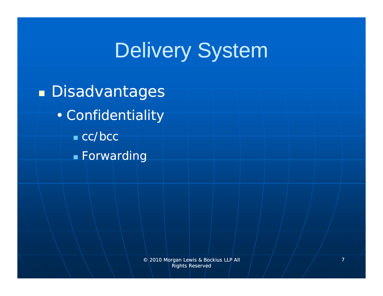**Disadvantages** • Confidentiality ■ cc/bcc **Forwarding**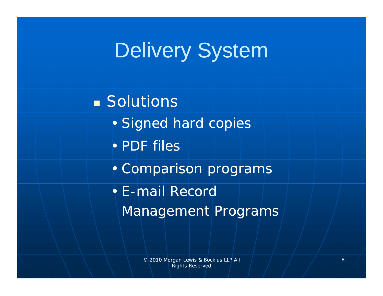**Solutions** • Signed hard copies • PDF files • Comparison programs • E-mail Record Management Programs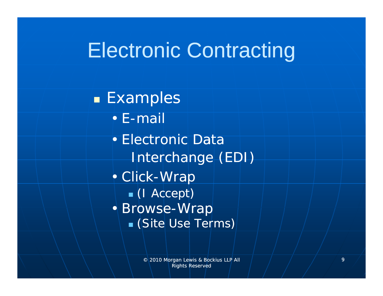**Examples** • E-mail• Electronic DataInterchange (EDI) • Click-Wrap (I Accept) • Browse-Wrap (Site Use Terms)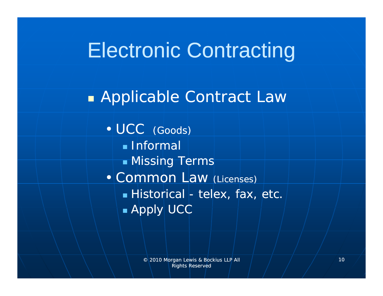#### **E** Applicable Contract Law

• UCC (Goods) Informal Missin g Terms • Common Law (Licenses)  $\bullet$  Historical - telex, fax, etc.  $\blacksquare$  Apply| UCC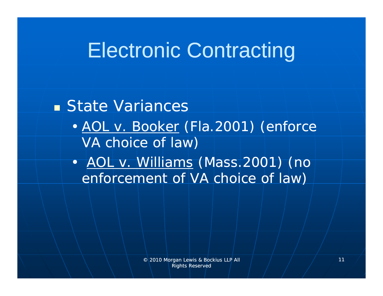### State Variances

- • *AOL v Booker v. (Fla 2001) (enforce (Fla.2001) VA choice of law)*
- • *AOL v. Williams (Mass.2001) (no enforcement of VA choice of law)*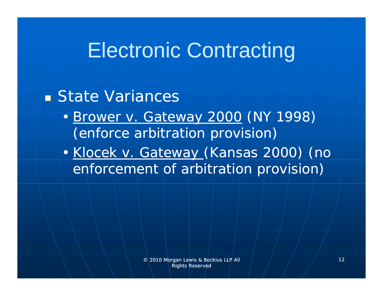### **E** State Variances

- • *Brower v. Gateway 2000 (NY 1998) ( f bit ti i i ) (en force arbitration provision*
- • *Klocek v. Gateway (Kansas 2000) (no enforcement of arbitration provision)*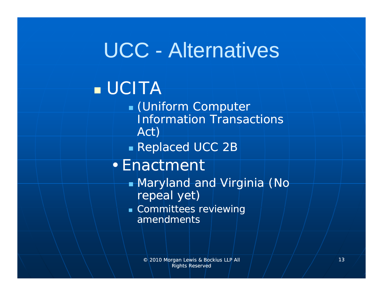## UCC - Alternatives

### UCITA

- (Uniform Computer Information Transactions Act)
- Replaced UCC 2B

### • Enactment

- Maryland and Virginia (No repeal yet)
- Committees reviewing amendments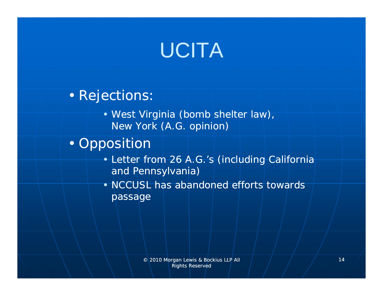# UCITA

### • Rejections:

• West Virginia (bomb shelter law), New York (A.G. opinion)

### • Opposition

- Letter from 26 A.G.'s (including California and Pennsylvania)
- NCCUSL has abandoned efforts towards passage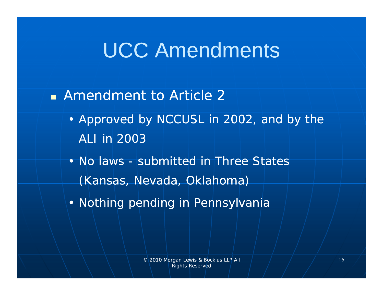$\blacksquare$  Amendment to Article 2

• Approved by NCCUSL in 2002, and by the ALI in 2003

• No laws - submitted in Three States (Kansas, Nevada, Oklahoma)

• Nothing pending in Pennsylvania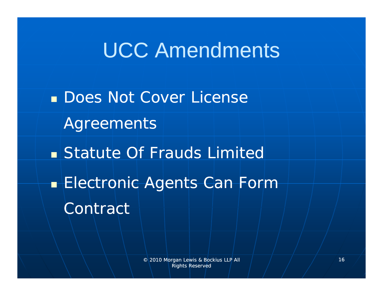**Does Not Cover License** A greements **Statute Of Frauds Limited Electronic Agents Can Form** Contract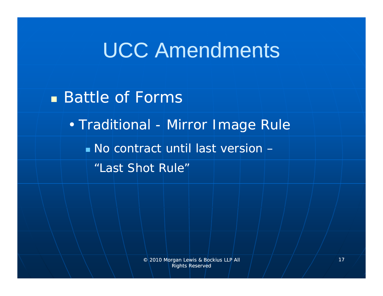**Battle of Forms** 

• Traditional -Mirror Image Rule

No contract until last version –

"Last Shot Rule"

© 2010 Morgan Lewis & Bockius LLP All Rights Reserved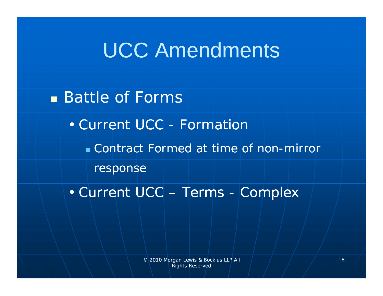**Battle of Forms** 

• Current UCC - Formation

**Contract Formed at time of non-mirror** 

response

• Current UCC – Terms - Complex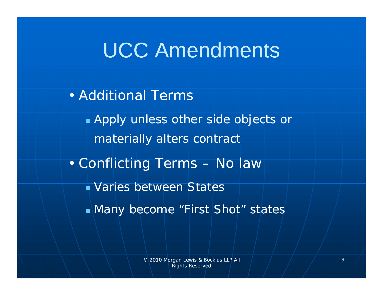• Additional Terms Apply unless other side objects or materially alters contract • Conflicting Terms – No law Varies between States ■Many become "First Shot" states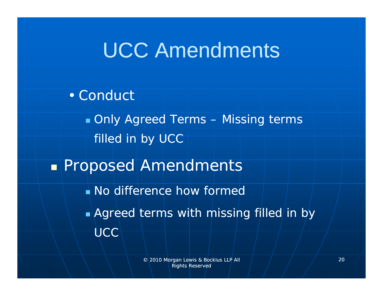• Conduct Only Agreed Terms – Missing terms filled in by UCC Proposed Amendments No difference how formed  $\blacksquare$  Agreed terms with missing filled in by **UCC**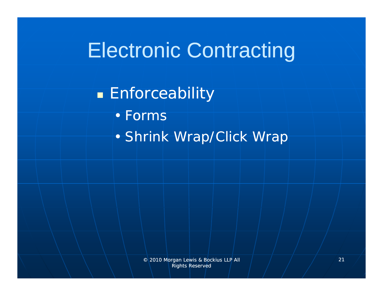#### **Enforceability**

• Forms

• Shrink Wrap/Click Wrap

© 2010 Morgan Lewis & Bockius LLP All Rights Reserved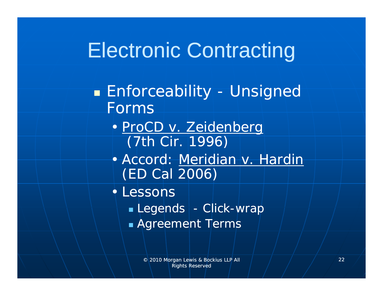#### $\blacksquare$  Enforceability -- Unsigned Forms

- *ProCD v Zeidenberg v. (7th Cir. 1996)*
- Accord: *Meridian v. Hardin (ED Cal 2006)*
- Lessons
	- $\overline{\phantom{a}}$  Legends | Click-wrap
	- Agreement Terms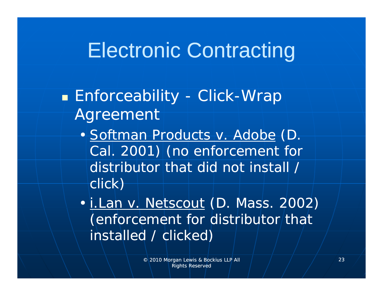### • Enforceability - Click-Wrap **Agreement**

• *Softman Products v. Adobe (D. Cal. 2001) (no enforcement for distributor that did not install / click)*

• *i Lan v Netscout i.Lan v. (D Mass 2002) (D. Mass. (enforcement for distributor that installed / clicked ) /*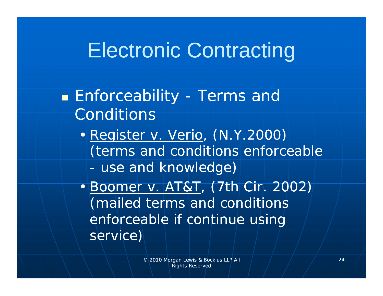**Enforceability - Terms and late** Conditions

• *Register v. Verio, (N.Y.2000) (terms and conditions enforceable use and knowledge)*

• *Boomer v. AT&T*, *(7th Cir. 2002) (mailed terms and conditions enforceable if continue using service )*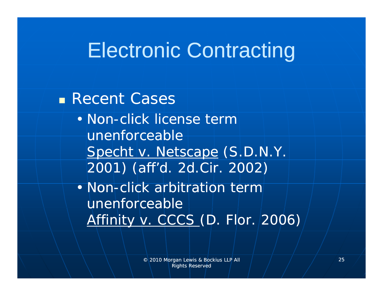Recent Cases

• Non-click license term unenforceable*Specht v. Netscape (S.D.N.Y. 2001) (aff d d' 2d Cir 2002) . 2d.Cir.* 

• Non-click arbitration term unenforceable *Affinity v. CCCS (D. Flor. 2006)*

> © 2010 Morgan Lewis & Bockius LLP All Rights Reserved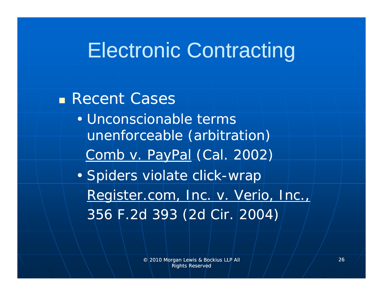Recent Cases • Unconscionable terms unenforceable (arbitration) *Comb v. PayPal (Cal. 2002)* • Spiders violate click-wrap *Register.com, Inc. v. Verio, Inc., 356 F.2d 393 (2d Cir. 2004)*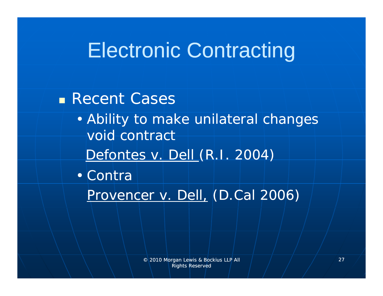Recent Cases

• Ability to make unilateral changes void contract

*Defontes v. Dell (R.I. 2004)*

• Contra

*Provencer v. Dell, (D.Cal 2006)*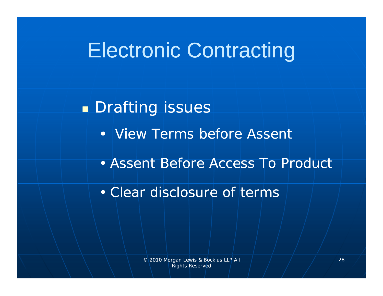**Drafting issues** • View Terms before Assent • Assent Before Access To Product • Clear disclosure of terms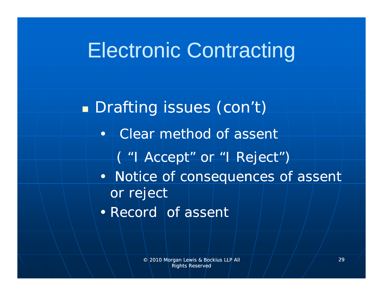**Drafting issues (con't)** • Clear method of assent ( "I Accept" or "I Reject") • Notice of consequences of assent or reject • Record of assent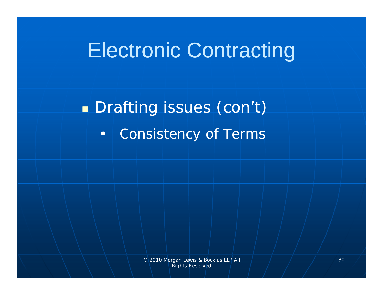**Drafting issues (con't)** • Consistency of Terms

> © 2010 Morgan Lewis & Bockius LLP All Rights Reserved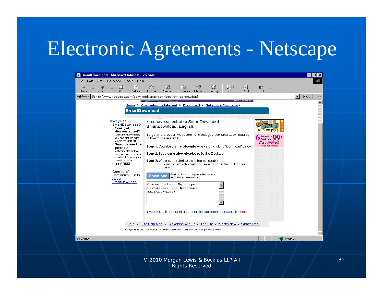#### Electronic Agreements Netscape

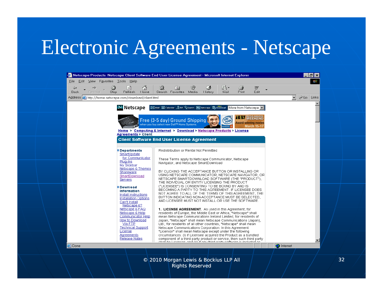### Electronic Agreements - Netscape



© 2010 Morgan Lewis & Bockius LLP All Rights Reserved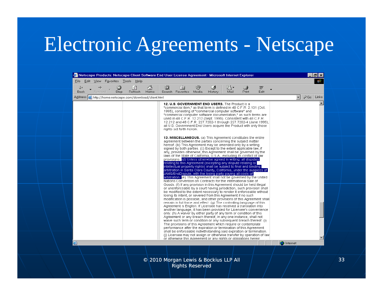### Electronic Agreements - Netscape

| ⇦       |                                               | 0    | $\begin{tabular}{ c c } \hline $\leftrightarrow$ \\ \hline $\leftrightarrow$ \\ \hline \end{tabular}$ | ⚠    | Q | (※)                      | ❤ | 63                                                                                                                                                                                                                                                                                                                                                                                                                                                                                                         | e-   | 4            | w    |                   |                     |                      |  |
|---------|-----------------------------------------------|------|-------------------------------------------------------------------------------------------------------|------|---|--------------------------|---|------------------------------------------------------------------------------------------------------------------------------------------------------------------------------------------------------------------------------------------------------------------------------------------------------------------------------------------------------------------------------------------------------------------------------------------------------------------------------------------------------------|------|--------------|------|-------------------|---------------------|----------------------|--|
| Back    | Forward                                       | Stop | Refresh                                                                                               | Home |   | Search Favorites Media   |   | History                                                                                                                                                                                                                                                                                                                                                                                                                                                                                                    | Mail | <b>Print</b> | Edit |                   |                     |                      |  |
| Address | http://home.netscape.com/download/client.html |      |                                                                                                       |      |   |                          |   |                                                                                                                                                                                                                                                                                                                                                                                                                                                                                                            |      |              |      |                   | $\vert \cdot \vert$ | $\partial G$ Links   |  |
|         |                                               |      |                                                                                                       |      |   | rights set forth herein. |   | 12. U.S. GOVERNMENT END USERS. The Product is a<br>"commercial item," as that term is defined in 48 C.F.R. 2.101 (Oct.<br>1995), consisting of "commercial computer software" and<br>"commercial computer software documentation," as such terms are<br>used in 48 C.F.R. 12.212 (Sept. 1995). Consistent with 48 C.F.R.<br>12.212 and 48 C.F.R. 227.7202-1 through 227.7202-4 (June 1995),<br>all U.S. Government End Users acquire the Product with only those                                           |      |              |      |                   |                     | $\blacktriangle$     |  |
|         |                                               |      |                                                                                                       |      |   |                          |   | <b>13. MISCELLANEOUS.</b> (a) This Agreement constitutes the entire<br>agreement between the parties concerning the subject matter<br>hereof. (b) This Agreement may be amended only by a writing<br>signed by both parties. (c) Except to the extent applicable law, if<br>any, provides otherwise, this Agreement shall be governed by the<br>laws of the State of California, U.S.A., excluding its conflict of law<br>provisions. (d) Unless otherwise agreed in writing, all disputes                 |      |              |      |                   |                     |                      |  |
|         |                                               |      |                                                                                                       |      |   |                          |   | relating to this Agreement (excepting any dispute relating to<br>intellectual property rights) shall be subject to final and binding<br>arbitration in Santa Clara County, California, under the auspices of<br>JAMS/EndDispute, with the losing party paying all costs of<br>arbitration. (e) This Agreement shall not be governed by the United<br>Nations Convention on Contracts for the International Sale of<br>Goods. (f) If any provision in this Agreement should be held illegal                 |      |              |      |                   |                     |                      |  |
|         |                                               |      |                                                                                                       |      |   |                          |   | or unenforceable by a court having jurisdiction, such provision shall<br>be modified to the extent necessary to render it enforceable without<br>losing its intent, or severed from this Agreement if no such<br>modification is possible, and other provisions of this Agreement shall<br>remain in full force and effect. (g) The controlling language of this<br>Agreement is English. If Licensee has received a translation into<br>another language, it has been provided for Licensee's convenience |      |              |      |                   |                     |                      |  |
|         |                                               |      |                                                                                                       |      |   |                          |   | only. (h) A waiver by either party of any term or condition of this<br>Agreement or any breach thereof, in any one instance, shall not<br>waive such term or condition or any subsequent breach thereof. (i)<br>The provisions of this Agreement which require or contemplate<br>performance after the expiration or termination of this Agreement<br>shall be enforceable notwithstanding said expiration or termination.<br>(i) Licensee may not assign or otherwise transfer by operation of law        |      |              |      |                   |                     |                      |  |
| ø       |                                               |      |                                                                                                       |      |   |                          |   | or otherwise this Agreement or any rights or obligations herein                                                                                                                                                                                                                                                                                                                                                                                                                                            |      |              |      | <b>D</b> Internet |                     | $\blacktriangledown$ |  |
|         |                                               |      |                                                                                                       |      |   |                          |   |                                                                                                                                                                                                                                                                                                                                                                                                                                                                                                            |      |              |      |                   |                     |                      |  |

Rights Reserved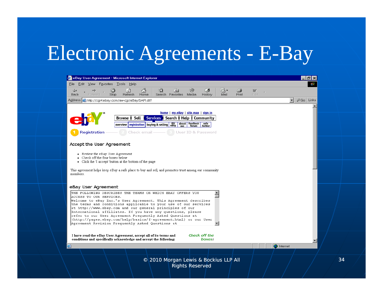### Electronic Agreements E -Bay

| <b>C</b> eBay User Agreement - Microsoft Internet Explorer                                                                                                                                                        |    |  |  |  |  |  |  |  |
|-------------------------------------------------------------------------------------------------------------------------------------------------------------------------------------------------------------------|----|--|--|--|--|--|--|--|
| File Edit View Favorites Tools Help                                                                                                                                                                               |    |  |  |  |  |  |  |  |
| ⚠<br>$\rightarrow$<br>r,<br>Q<br>€<br>ಿ<br>6<br>⇦<br>$\left\vert \downarrow\right\rangle$<br>w<br>Mail<br>Print<br>Edit<br>Back<br><b>Stop</b><br>Refresh<br>Home<br>Search Favorites Media<br>History<br>Forward |    |  |  |  |  |  |  |  |
| $\partial G$ Go Links<br>$\mathbf{r}$<br>Address <b>&amp;</b> http://cqi4.ebay.com/aw-cqi/eBayISAPI.dll?                                                                                                          |    |  |  |  |  |  |  |  |
|                                                                                                                                                                                                                   |    |  |  |  |  |  |  |  |
| home   my eBay   site map   sign in                                                                                                                                                                               |    |  |  |  |  |  |  |  |
| Search   Help<br>Sell<br><b>Services</b><br>Community<br>Browse                                                                                                                                                   |    |  |  |  |  |  |  |  |
| about feedback<br>me forum<br>buying & selling eBay<br>safe<br>harbor<br>registration<br>overview                                                                                                                 |    |  |  |  |  |  |  |  |
| <b>Registration</b><br>Check email<br>User ID & Password                                                                                                                                                          |    |  |  |  |  |  |  |  |
|                                                                                                                                                                                                                   |    |  |  |  |  |  |  |  |
| Accept the User Agreement                                                                                                                                                                                         |    |  |  |  |  |  |  |  |
| • Review the eBay User Agreement                                                                                                                                                                                  |    |  |  |  |  |  |  |  |
| • Check off the four boxes below<br>• Click the 'I accept' button at the bottom of the page                                                                                                                       |    |  |  |  |  |  |  |  |
| This agreement helps keep eBay a safe place to buy and sell, and promotes trust among our community                                                                                                               |    |  |  |  |  |  |  |  |
| members.                                                                                                                                                                                                          |    |  |  |  |  |  |  |  |
|                                                                                                                                                                                                                   |    |  |  |  |  |  |  |  |
| eBay User Agreement                                                                                                                                                                                               |    |  |  |  |  |  |  |  |
| THE FOLLOWING DESCRIBES THE TERMS ON WHICH EBAY OFFERS YOU                                                                                                                                                        |    |  |  |  |  |  |  |  |
| ACCESS TO OUR SERVICES.<br>Welcome to eBay Inc.'s User Agreement. This Agreement describes                                                                                                                        |    |  |  |  |  |  |  |  |
| the terms and conditions applicable to your use of our services<br>at http://www.ebay.com and our general principles of our                                                                                       |    |  |  |  |  |  |  |  |
| International affiliates. If you have any questions, please<br>refer to our User Agreement Frequently Asked Questions at                                                                                          |    |  |  |  |  |  |  |  |
| (http://pages.ebay.com/help/basics/f-agreement.html) or our User<br>Agreement Revision Frequently Asked Questions at                                                                                              |    |  |  |  |  |  |  |  |
|                                                                                                                                                                                                                   |    |  |  |  |  |  |  |  |
| Check off the<br>I have read the eBay User Agreement, accept all of its terms and                                                                                                                                 |    |  |  |  |  |  |  |  |
| conditions and specifically acknowledge and accept the following:<br>boxes:                                                                                                                                       |    |  |  |  |  |  |  |  |
| Internet                                                                                                                                                                                                          |    |  |  |  |  |  |  |  |
|                                                                                                                                                                                                                   |    |  |  |  |  |  |  |  |
| © 2010 Morgan Lewis & Bockius LLP All                                                                                                                                                                             | 34 |  |  |  |  |  |  |  |
| <b>Rights Reserved</b>                                                                                                                                                                                            |    |  |  |  |  |  |  |  |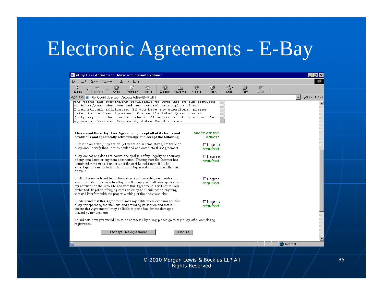#### Electronic Agreements E -Bay

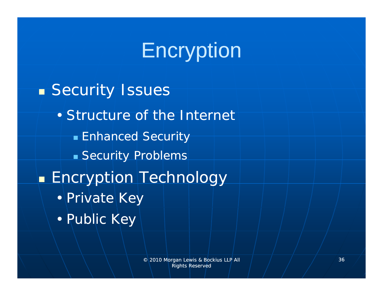# **Encryption**

**Security Issues** • Structure of the Internet ■ Enhanced Security **Security Problems - Encryption Technology** • Private Key • Public Key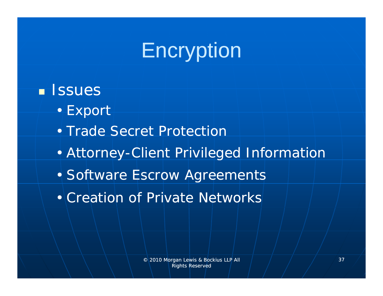# **Encryption**

### **ISSUES**

- Export
- Trade Secret Protection
- Attorney-Client Privileged Information
- Software Escrow Agreements
- Creation of Private Networks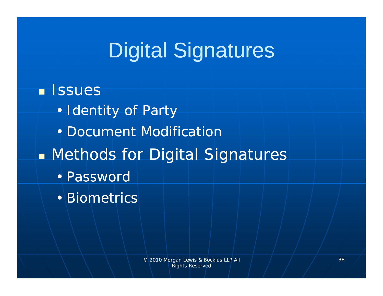# Digital Signatures

### **ISSUES**

- Identity of Party
- Document Modification
- Methods for Digital Signatures
	- Password
	- Biometrics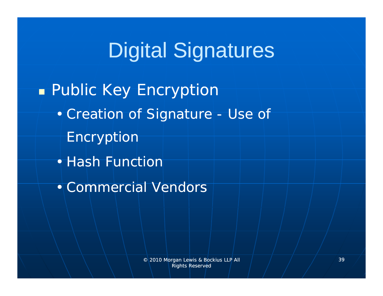# Digital Signatures

#### Public Key Encryption

- Creation of Signature Use of
	- Encryption
- Hash Function
- Commercial Vendors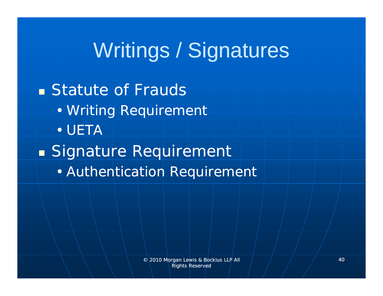### **Statute of Frauds** • Writing Requirement • UETA **Burge Signature Requirement** • Aut hentication Requirement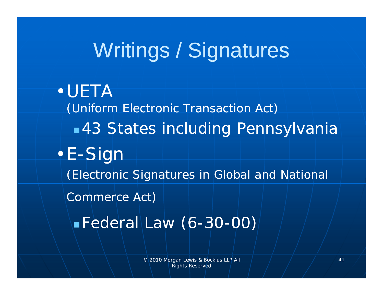•UETA*(Uniform Electronic Transaction Act)* 43 States including Pennsylvania •E-Sign *(Electronic Signatures in Global and National Commerce Act)*  $\blacksquare$  Federal Law (6-30-00)

> © 2010 Morgan Lewis & Bockius LLP All Rights Reserved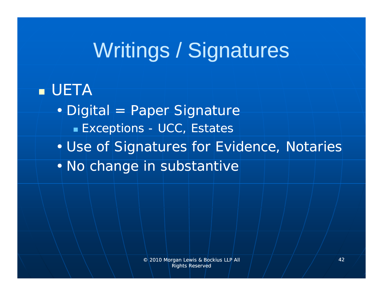### UETA

- Digital = Paper Signature  $\blacksquare$  Exceptions - UCC, Estates
- Use of Signatures for Evidence, Notaries
- No change in substantive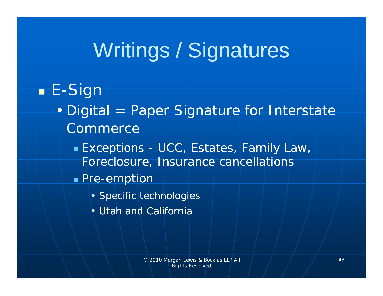### E -Sign

- Digital = Paper Signature for Interstate **Commerce** 
	- Exceptions UCC, Estates, Family Law, Foreclosure, Insurance cancellations
	- $\blacksquare$  Pre-emption
		- Specific technologies
		- Utah and California